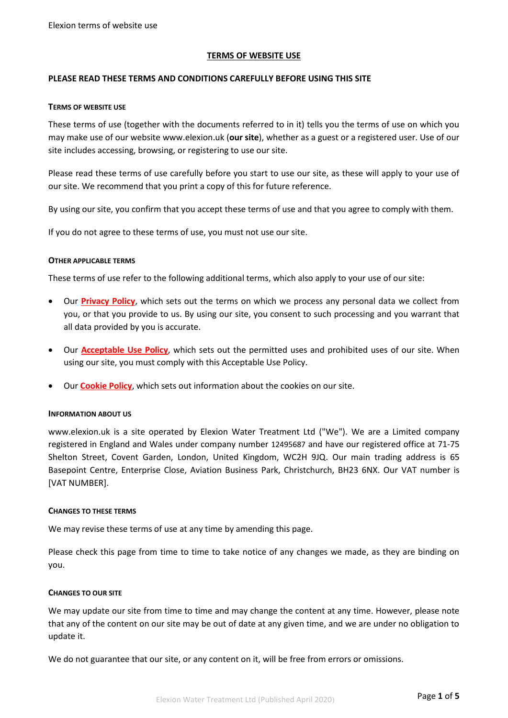### **TERMS OF WEBSITE USE**

### **PLEASE READ THESE TERMS AND CONDITIONS CAREFULLY BEFORE USING THIS SITE**

#### **TERMS OF WEBSITE USE**

These terms of use (together with the documents referred to in it) tells you the terms of use on which you may make use of our website www.elexion.uk (**our site**), whether as a guest or a registered user. Use of our site includes accessing, browsing, or registering to use our site.

Please read these terms of use carefully before you start to use our site, as these will apply to your use of our site. We recommend that you print a copy of this for future reference.

By using our site, you confirm that you accept these terms of use and that you agree to comply with them.

If you do not agree to these terms of use, you must not use our site.

#### **OTHER APPLICABLE TERMS**

These terms of use refer to the following additional terms, which also apply to your use of our site:

- Our **Privacy Policy**, which sets out the terms on which we process any personal data we collect from you, or that you provide to us. By using our site, you consent to such processing and you warrant that all data provided by you is accurate.
- Our **Acceptable Use Policy**, which sets out the permitted uses and prohibited uses of our site. When using our site, you must comply with this Acceptable Use Policy.
- Our **Cookie Policy**, which sets out information about the cookies on our site.

#### **INFORMATION ABOUT US**

www.elexion.uk is a site operated by Elexion Water Treatment Ltd ("We"). We are a Limited company registered in England and Wales under company number 12495687 and have our registered office at 71-75 Shelton Street, Covent Garden, London, United Kingdom, WC2H 9JQ. Our main trading address is 65 Basepoint Centre, Enterprise Close, Aviation Business Park, Christchurch, BH23 6NX. Our VAT number is [VAT NUMBER].

#### **CHANGES TO THESE TERMS**

We may revise these terms of use at any time by amending this page.

Please check this page from time to time to take notice of any changes we made, as they are binding on you.

#### **CHANGES TO OUR SITE**

We may update our site from time to time and may change the content at any time. However, please note that any of the content on our site may be out of date at any given time, and we are under no obligation to update it.

We do not guarantee that our site, or any content on it, will be free from errors or omissions.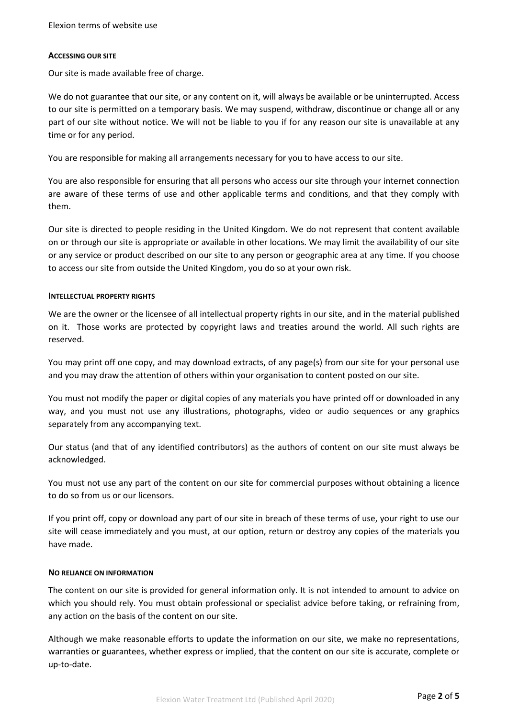### **ACCESSING OUR SITE**

Our site is made available free of charge.

We do not guarantee that our site, or any content on it, will always be available or be uninterrupted. Access to our site is permitted on a temporary basis. We may suspend, withdraw, discontinue or change all or any part of our site without notice. We will not be liable to you if for any reason our site is unavailable at any time or for any period.

You are responsible for making all arrangements necessary for you to have access to our site.

You are also responsible for ensuring that all persons who access our site through your internet connection are aware of these terms of use and other applicable terms and conditions, and that they comply with them.

Our site is directed to people residing in the United Kingdom. We do not represent that content available on or through our site is appropriate or available in other locations. We may limit the availability of our site or any service or product described on our site to any person or geographic area at any time. If you choose to access our site from outside the United Kingdom, you do so at your own risk.

### **INTELLECTUAL PROPERTY RIGHTS**

We are the owner or the licensee of all intellectual property rights in our site, and in the material published on it. Those works are protected by copyright laws and treaties around the world. All such rights are reserved.

You may print off one copy, and may download extracts, of any page(s) from our site for your personal use and you may draw the attention of others within your organisation to content posted on our site.

You must not modify the paper or digital copies of any materials you have printed off or downloaded in any way, and you must not use any illustrations, photographs, video or audio sequences or any graphics separately from any accompanying text.

Our status (and that of any identified contributors) as the authors of content on our site must always be acknowledged.

You must not use any part of the content on our site for commercial purposes without obtaining a licence to do so from us or our licensors.

If you print off, copy or download any part of our site in breach of these terms of use, your right to use our site will cease immediately and you must, at our option, return or destroy any copies of the materials you have made.

## **NO RELIANCE ON INFORMATION**

The content on our site is provided for general information only. It is not intended to amount to advice on which you should rely. You must obtain professional or specialist advice before taking, or refraining from, any action on the basis of the content on our site.

Although we make reasonable efforts to update the information on our site, we make no representations, warranties or guarantees, whether express or implied, that the content on our site is accurate, complete or up-to-date.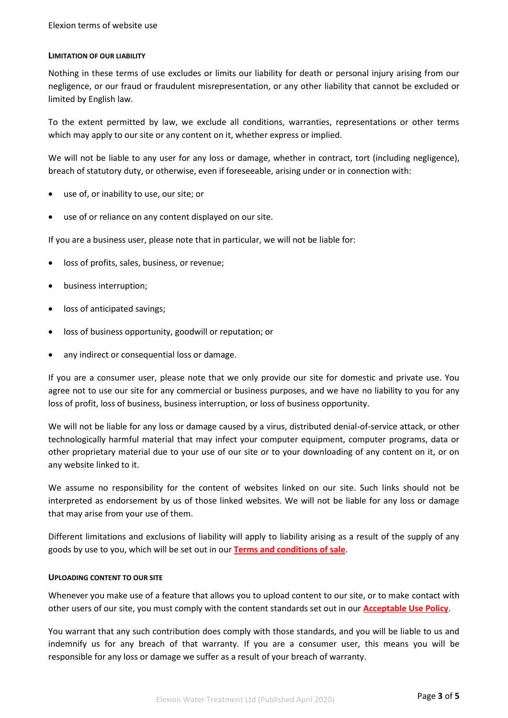### **LIMITATION OF OUR LIABILITY**

Nothing in these terms of use excludes or limits our liability for death or personal injury arising from our negligence, or our fraud or fraudulent misrepresentation, or any other liability that cannot be excluded or limited by English law.

To the extent permitted by law, we exclude all conditions, warranties, representations or other terms which may apply to our site or any content on it, whether express or implied.

We will not be liable to any user for any loss or damage, whether in contract, tort (including negligence), breach of statutory duty, or otherwise, even if foreseeable, arising under or in connection with:

- use of, or inability to use, our site; or
- use of or reliance on any content displayed on our site.

If you are a business user, please note that in particular, we will not be liable for:

- loss of profits, sales, business, or revenue;
- business interruption;
- loss of anticipated savings;
- loss of business opportunity, goodwill or reputation; or
- any indirect or consequential loss or damage.

If you are a consumer user, please note that we only provide our site for domestic and private use. You agree not to use our site for any commercial or business purposes, and we have no liability to you for any loss of profit, loss of business, business interruption, or loss of business opportunity.

We will not be liable for any loss or damage caused by a virus, distributed denial-of-service attack, or other technologically harmful material that may infect your computer equipment, computer programs, data or other proprietary material due to your use of our site or to your downloading of any content on it, or on any website linked to it.

We assume no responsibility for the content of websites linked on our site. Such links should not be interpreted as endorsement by us of those linked websites. We will not be liable for any loss or damage that may arise from your use of them.

Different limitations and exclusions of liability will apply to liability arising as a result of the supply of any goods by use to you, which will be set out in our **Terms and conditions of sale**.

## **UPLOADING CONTENT TO OUR SITE**

Whenever you make use of a feature that allows you to upload content to our site, or to make contact with other users of our site, you must comply with the content standards set out in our **Acceptable Use Policy**.

You warrant that any such contribution does comply with those standards, and you will be liable to us and indemnify us for any breach of that warranty. If you are a consumer user, this means you will be responsible for any loss or damage we suffer as a result of your breach of warranty.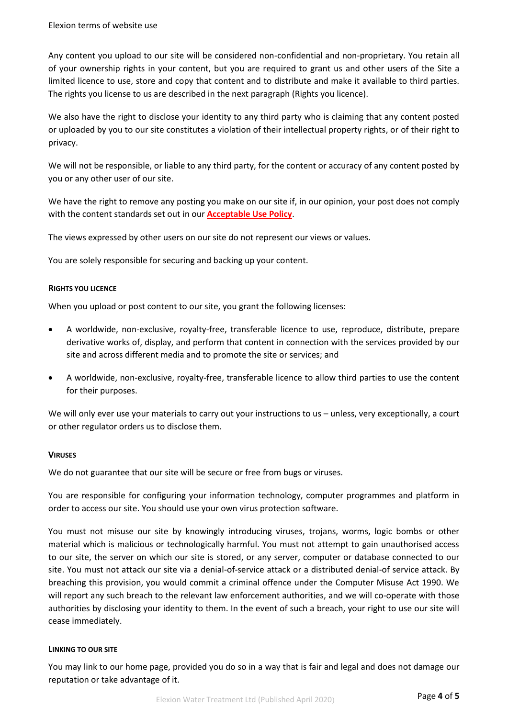Any content you upload to our site will be considered non-confidential and non-proprietary. You retain all of your ownership rights in your content, but you are required to grant us and other users of the Site a limited licence to use, store and copy that content and to distribute and make it available to third parties. The rights you license to us are described in the next paragraph (Rights you licence).

We also have the right to disclose your identity to any third party who is claiming that any content posted or uploaded by you to our site constitutes a violation of their intellectual property rights, or of their right to privacy.

We will not be responsible, or liable to any third party, for the content or accuracy of any content posted by you or any other user of our site.

We have the right to remove any posting you make on our site if, in our opinion, your post does not comply with the content standards set out in our **Acceptable Use Policy**.

The views expressed by other users on our site do not represent our views or values.

You are solely responsible for securing and backing up your content.

## **RIGHTS YOU LICENCE**

When you upload or post content to our site, you grant the following licenses:

- A worldwide, non-exclusive, royalty-free, transferable licence to use, reproduce, distribute, prepare derivative works of, display, and perform that content in connection with the services provided by our site and across different media and to promote the site or services; and
- A worldwide, non-exclusive, royalty-free, transferable licence to allow third parties to use the content for their purposes.

We will only ever use your materials to carry out your instructions to us – unless, very exceptionally, a court or other regulator orders us to disclose them.

## **VIRUSES**

We do not guarantee that our site will be secure or free from bugs or viruses.

You are responsible for configuring your information technology, computer programmes and platform in order to access our site. You should use your own virus protection software.

You must not misuse our site by knowingly introducing viruses, trojans, worms, logic bombs or other material which is malicious or technologically harmful. You must not attempt to gain unauthorised access to our site, the server on which our site is stored, or any server, computer or database connected to our site. You must not attack our site via a denial-of-service attack or a distributed denial-of service attack. By breaching this provision, you would commit a criminal offence under the Computer Misuse Act 1990. We will report any such breach to the relevant law enforcement authorities, and we will co-operate with those authorities by disclosing your identity to them. In the event of such a breach, your right to use our site will cease immediately.

## **LINKING TO OUR SITE**

You may link to our home page, provided you do so in a way that is fair and legal and does not damage our reputation or take advantage of it.